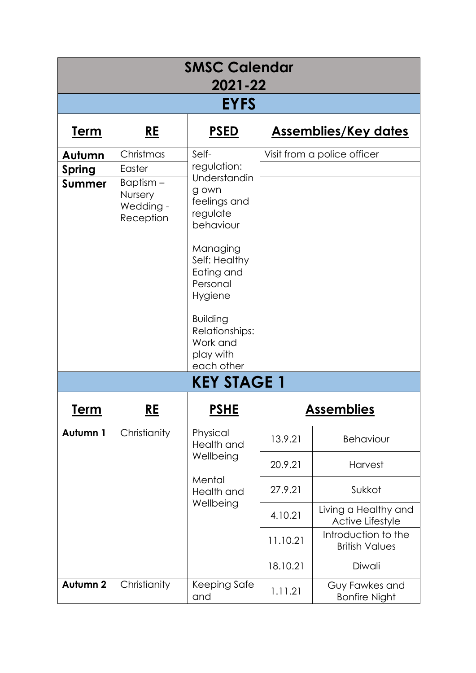| <b>SMSC Calendar</b><br>2021-22 |                                                |                                                                                                                                                                                                               |                                          |                                              |  |
|---------------------------------|------------------------------------------------|---------------------------------------------------------------------------------------------------------------------------------------------------------------------------------------------------------------|------------------------------------------|----------------------------------------------|--|
| <b>EYFS</b>                     |                                                |                                                                                                                                                                                                               |                                          |                                              |  |
| <u>Term</u>                     | <u>RE</u>                                      | <u>PSED</u>                                                                                                                                                                                                   |                                          | <b>Assemblies/Key dates</b>                  |  |
| Autumn                          | Christmas                                      | Self-                                                                                                                                                                                                         |                                          | Visit from a police officer                  |  |
| <b>Spring</b>                   | Easter                                         | regulation:<br>Understandin<br>g own<br>feelings and<br>regulate<br>behaviour<br>Managing<br>Self: Healthy<br>Eating and<br>Personal<br>Hygiene<br><b>Building</b><br>Relationships:<br>Work and<br>play with |                                          |                                              |  |
| <b>Summer</b>                   | Baptism -<br>Nursery<br>Wedding -<br>Reception |                                                                                                                                                                                                               |                                          |                                              |  |
|                                 |                                                | each other<br><b>KEY STAGE 1</b>                                                                                                                                                                              |                                          |                                              |  |
| <u>Term</u>                     | <u>RE</u>                                      | <u>PSHE</u><br><u>Assemblies</u>                                                                                                                                                                              |                                          |                                              |  |
| Autumn 1                        | Christianity                                   | Physical<br>Health and                                                                                                                                                                                        | 13.9.21                                  | Behaviour                                    |  |
|                                 | Wellbeing<br>Mental<br>Health and<br>Wellbeing |                                                                                                                                                                                                               | 20.9.21                                  | <b>Harvest</b>                               |  |
|                                 |                                                | 27.9.21                                                                                                                                                                                                       | Sukkot                                   |                                              |  |
|                                 |                                                | 4.10.21                                                                                                                                                                                                       | Living a Healthy and<br>Active Lifestyle |                                              |  |
|                                 |                                                |                                                                                                                                                                                                               | 11.10.21                                 | Introduction to the<br><b>British Values</b> |  |
|                                 |                                                |                                                                                                                                                                                                               | 18.10.21                                 | Diwali                                       |  |
| Autumn <sub>2</sub>             | Christianity                                   | Keeping Safe<br>and                                                                                                                                                                                           | 1.11.21                                  | Guy Fawkes and<br><b>Bonfire Night</b>       |  |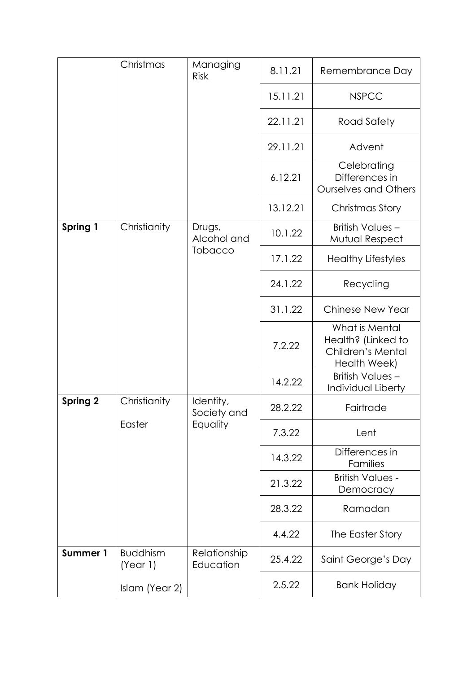|                 | Christmas                   | Managing<br><b>Risk</b>              | 8.11.21  | Remembrance Day                                                           |
|-----------------|-----------------------------|--------------------------------------|----------|---------------------------------------------------------------------------|
|                 |                             |                                      | 15.11.21 | <b>NSPCC</b>                                                              |
|                 |                             |                                      | 22.11.21 | Road Safety                                                               |
|                 |                             |                                      | 29.11.21 | Advent                                                                    |
|                 |                             |                                      | 6.12.21  | Celebrating<br>Differences in<br><b>Ourselves and Others</b>              |
|                 |                             |                                      | 13.12.21 | Christmas Story                                                           |
| Spring 1        | Christianity                | Drugs,<br>Alcohol and<br>Tobacco     | 10.1.22  | British Values-<br>Mutual Respect                                         |
|                 |                             |                                      | 17.1.22  | <b>Healthy Lifestyles</b>                                                 |
|                 |                             |                                      | 24.1.22  | Recycling                                                                 |
|                 |                             |                                      | 31.1.22  | <b>Chinese New Year</b>                                                   |
|                 |                             |                                      | 7.2.22   | What is Mental<br>Health? (Linked to<br>Children's Mental<br>Health Week) |
|                 |                             |                                      | 14.2.22  | <b>British Values -</b><br>Individual Liberty                             |
| <b>Spring 2</b> | Christianity                | Identity,<br>Society and<br>Equality | 28.2.22  | Fairtrade                                                                 |
|                 | Easter                      |                                      | 7.3.22   | Lent                                                                      |
|                 |                             |                                      | 14.3.22  | Differences in<br>Families                                                |
|                 |                             |                                      | 21.3.22  | <b>British Values -</b><br>Democracy                                      |
|                 |                             |                                      | 28.3.22  | Ramadan                                                                   |
|                 |                             |                                      | 4.4.22   | The Easter Story                                                          |
| Summer 1        | <b>Buddhism</b><br>(Year 1) | Relationship<br>Education            | 25.4.22  | Saint George's Day                                                        |
|                 | Islam (Year 2)              |                                      | 2.5.22   | <b>Bank Holiday</b>                                                       |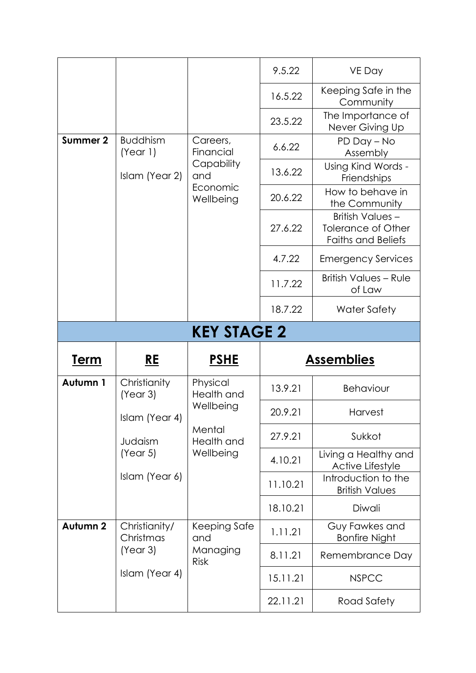|                    |                             |                         | 9.5.22   | VE Day                                                                    |  |
|--------------------|-----------------------------|-------------------------|----------|---------------------------------------------------------------------------|--|
|                    |                             |                         | 16.5.22  | Keeping Safe in the<br>Community                                          |  |
|                    |                             |                         | 23.5.22  | The Importance of<br>Never Giving Up                                      |  |
| Summer 2           | <b>Buddhism</b><br>(Year 1) | Careers,<br>Financial   | 6.6.22   | PD Day - No<br>Assembly                                                   |  |
|                    | Islam (Year 2)              | Capability<br>and       | 13.6.22  | Using Kind Words -<br>Friendships                                         |  |
|                    |                             | Economic<br>Wellbeing   | 20.6.22  | How to behave in<br>the Community                                         |  |
|                    |                             |                         | 27.6.22  | British Values-<br><b>Tolerance of Other</b><br><b>Faiths and Beliefs</b> |  |
|                    |                             |                         | 4.7.22   | <b>Emergency Services</b>                                                 |  |
|                    |                             |                         | 11.7.22  | <b>British Values - Rule</b><br>of Law                                    |  |
|                    |                             |                         | 18.7.22  | <b>Water Safety</b>                                                       |  |
| <b>KEY STAGE 2</b> |                             |                         |          |                                                                           |  |
|                    |                             |                         |          |                                                                           |  |
| <u>Term</u>        | <u>RE</u>                   | <u>PSHE</u>             |          | <b>Assemblies</b>                                                         |  |
| Autumn 1           | Christianity<br>(Year 3)    | Physical<br>Health and  | 13.9.21  | Behaviour                                                                 |  |
|                    | Islam (Year 4)              | Wellbeing               | 20.9.21  | Harvest                                                                   |  |
|                    | Judaism                     | Mental<br>Health and    | 27.9.21  | Sukkot                                                                    |  |
|                    | (Year 5)                    | Wellbeing               | 4.10.21  | Living a Healthy and<br>Active Lifestyle                                  |  |
|                    | Islam (Year 6)              |                         | 11.10.21 | Introduction to the<br><b>British Values</b>                              |  |
|                    |                             |                         | 18.10.21 | Diwali                                                                    |  |
| Autumn 2           | Christianity/<br>Christmas  | Keeping Safe<br>and     | 1.11.21  | Guy Fawkes and<br><b>Bonfire Night</b>                                    |  |
|                    | (Year 3)                    | Managing<br><b>Risk</b> | 8.11.21  | Remembrance Day                                                           |  |
|                    | Islam (Year 4)              |                         | 15.11.21 | <b>NSPCC</b>                                                              |  |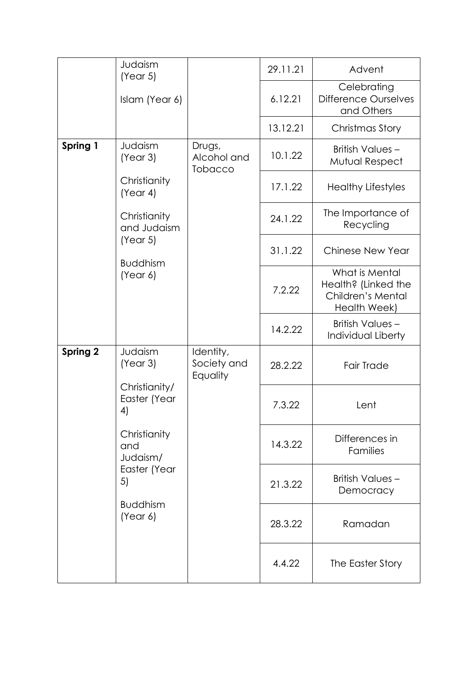|                 | Judaism<br>(Year 5)                                                                                                                                |                                         | 29.11.21 | Advent                                                                     |
|-----------------|----------------------------------------------------------------------------------------------------------------------------------------------------|-----------------------------------------|----------|----------------------------------------------------------------------------|
|                 | Islam (Year 6)                                                                                                                                     |                                         | 6.12.21  | Celebrating<br><b>Difference Ourselves</b><br>and Others                   |
|                 |                                                                                                                                                    |                                         | 13.12.21 | Christmas Story                                                            |
| Spring 1        | Judaism<br>(Year 3)                                                                                                                                | Drugs,<br>Alcohol and<br><b>Tobacco</b> | 10.1.22  | British Values-<br>Mutual Respect                                          |
|                 | Christianity<br>(Year 4)                                                                                                                           |                                         | 17.1.22  | <b>Healthy Lifestyles</b>                                                  |
|                 | Christianity<br>and Judaism                                                                                                                        |                                         | 24.1.22  | The Importance of<br>Recycling                                             |
|                 | (Year 5)<br><b>Buddhism</b><br>(Year 6)                                                                                                            |                                         | 31.1.22  | <b>Chinese New Year</b>                                                    |
|                 |                                                                                                                                                    |                                         | 7.2.22   | What is Mental<br>Health? (Linked the<br>Children's Mental<br>Health Week) |
|                 |                                                                                                                                                    |                                         | 14.2.22  | <b>British Values -</b><br>Individual Liberty                              |
| <b>Spring 2</b> | Judaism<br>(Year 3)<br>Christianity/<br>Easter (Year<br>4)<br>Christianity<br>and<br>Judaism/<br>Easter (Year<br>5)<br><b>Buddhism</b><br>(Year 6) | Identity,<br>Society and<br>Equality    | 28.2.22  | <b>Fair Trade</b>                                                          |
|                 |                                                                                                                                                    |                                         | 7.3.22   | Lent                                                                       |
|                 |                                                                                                                                                    |                                         | 14.3.22  | Differences in<br>Families                                                 |
|                 |                                                                                                                                                    |                                         | 21.3.22  | British Values -<br>Democracy                                              |
|                 |                                                                                                                                                    |                                         | 28.3.22  | Ramadan                                                                    |
|                 |                                                                                                                                                    |                                         | 4.4.22   | The Easter Story                                                           |